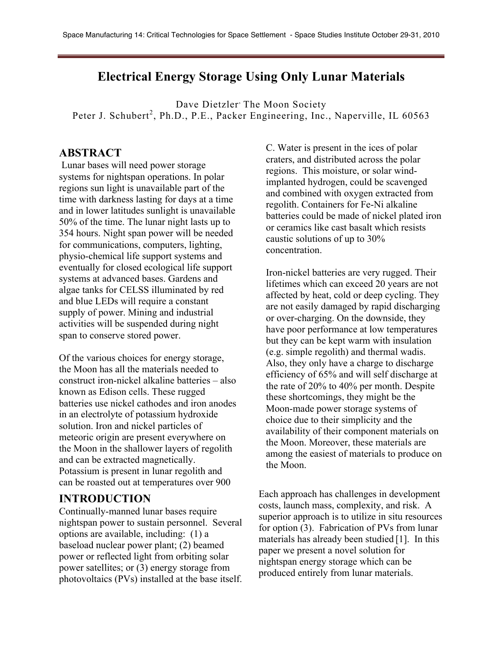## **Electrical Energy Storage Using Only Lunar Materials**

Dave Dietzler<sup>,</sup> The Moon Society Peter J. Schubert<sup>2</sup>, Ph.D., P.E., Packer Engineering, Inc., Naperville, IL 60563

#### **ABSTRACT**

Lunar bases will need power storage systems for nightspan operations. In polar regions sun light is unavailable part of the time with darkness lasting for days at a time and in lower latitudes sunlight is unavailable 50% of the time. The lunar night lasts up to 354 hours. Night span power will be needed for communications, computers, lighting, physio-chemical life support systems and eventually for closed ecological life support systems at advanced bases. Gardens and algae tanks for CELSS illuminated by red and blue LEDs will require a constant supply of power. Mining and industrial activities will be suspended during night span to conserve stored power.

Of the various choices for energy storage, the Moon has all the materials needed to construct iron-nickel alkaline batteries – also known as Edison cells. These rugged batteries use nickel cathodes and iron anodes in an electrolyte of potassium hydroxide solution. Iron and nickel particles of meteoric origin are present everywhere on the Moon in the shallower layers of regolith and can be extracted magnetically. Potassium is present in lunar regolith and can be roasted out at temperatures over 900

### **INTRODUCTION**

Continually-manned lunar bases require nightspan power to sustain personnel. Several options are available, including: (1) a baseload nuclear power plant; (2) beamed power or reflected light from orbiting solar power satellites; or (3) energy storage from photovoltaics (PVs) installed at the base itself.

C. Water is present in the ices of polar craters, and distributed across the polar regions. This moisture, or solar windimplanted hydrogen, could be scavenged and combined with oxygen extracted from regolith. Containers for Fe-Ni alkaline batteries could be made of nickel plated iron or ceramics like cast basalt which resists caustic solutions of up to 30% concentration.

Iron-nickel batteries are very rugged. Their lifetimes which can exceed 20 years are not affected by heat, cold or deep cycling. They are not easily damaged by rapid discharging or over-charging. On the downside, they have poor performance at low temperatures but they can be kept warm with insulation (e.g. simple regolith) and thermal wadis. Also, they only have a charge to discharge efficiency of 65% and will self discharge at the rate of 20% to 40% per month. Despite these shortcomings, they might be the Moon-made power storage systems of choice due to their simplicity and the availability of their component materials on the Moon. Moreover, these materials are among the easiest of materials to produce on the Moon.

Each approach has challenges in development costs, launch mass, complexity, and risk. A superior approach is to utilize in situ resources for option (3). Fabrication of PVs from lunar materials has already been studied [1]. In this paper we present a novel solution for nightspan energy storage which can be produced entirely from lunar materials.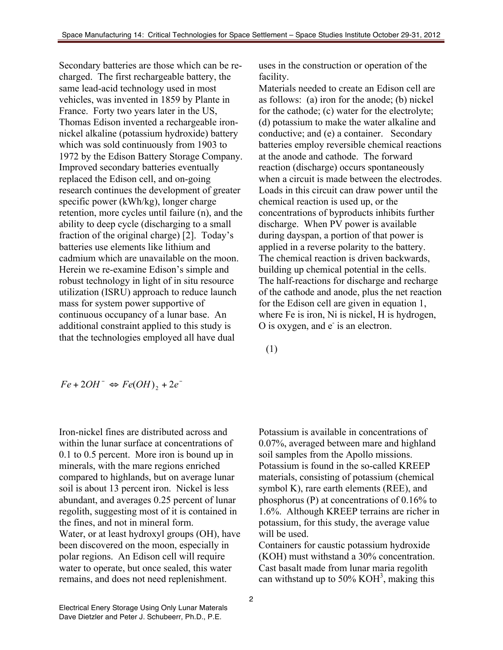Secondary batteries are those which can be recharged. The first rechargeable battery, the same lead-acid technology used in most vehicles, was invented in 1859 by Plante in France. Forty two years later in the US, Thomas Edison invented a rechargeable ironnickel alkaline (potassium hydroxide) battery which was sold continuously from 1903 to 1972 by the Edison Battery Storage Company. Improved secondary batteries eventually replaced the Edison cell, and on-going research continues the development of greater specific power (kWh/kg), longer charge retention, more cycles until failure (n), and the ability to deep cycle (discharging to a small fraction of the original charge) [2]. Today's batteries use elements like lithium and cadmium which are unavailable on the moon. Herein we re-examine Edison's simple and robust technology in light of in situ resource utilization (ISRU) approach to reduce launch mass for system power supportive of continuous occupancy of a lunar base. An additional constraint applied to this study is that the technologies employed all have dual

uses in the construction or operation of the facility.

Materials needed to create an Edison cell are as follows: (a) iron for the anode; (b) nickel for the cathode; (c) water for the electrolyte; (d) potassium to make the water alkaline and conductive; and (e) a container. Secondary batteries employ reversible chemical reactions at the anode and cathode. The forward reaction (discharge) occurs spontaneously when a circuit is made between the electrodes. Loads in this circuit can draw power until the chemical reaction is used up, or the concentrations of byproducts inhibits further discharge. When PV power is available during dayspan, a portion of that power is applied in a reverse polarity to the battery. The chemical reaction is driven backwards, building up chemical potential in the cells. The half-reactions for discharge and recharge of the cathode and anode, plus the net reaction for the Edison cell are given in equation 1, where Fe is iron, Ni is nickel, H is hydrogen,  $O$  is oxygen, and  $e^-$  is an electron.

(1)

$$
Fe + 2OH^- \Leftrightarrow Fe(OH)_2 + 2e^-
$$

Iron-nickel fines are distributed across and within the lunar surface at concentrations of 0.1 to 0.5 percent. More iron is bound up in minerals, with the mare regions enriched compared to highlands, but on average lunar soil is about 13 percent iron. Nickel is less abundant, and averages 0.25 percent of lunar regolith, suggesting most of it is contained in the fines, and not in mineral form. Water, or at least hydroxyl groups (OH), have been discovered on the moon, especially in polar regions. An Edison cell will require water to operate, but once sealed, this water remains, and does not need replenishment.

Potassium is available in concentrations of 0.07%, averaged between mare and highland soil samples from the Apollo missions. Potassium is found in the so-called KREEP materials, consisting of potassium (chemical symbol K), rare earth elements (REE), and phosphorus (P) at concentrations of 0.16% to 1.6%. Although KREEP terrains are richer in potassium, for this study, the average value will be used.

Containers for caustic potassium hydroxide (KOH) must withstand a 30% concentration. Cast basalt made from lunar maria regolith can withstand up to 50%  $KOH<sup>3</sup>$ , making this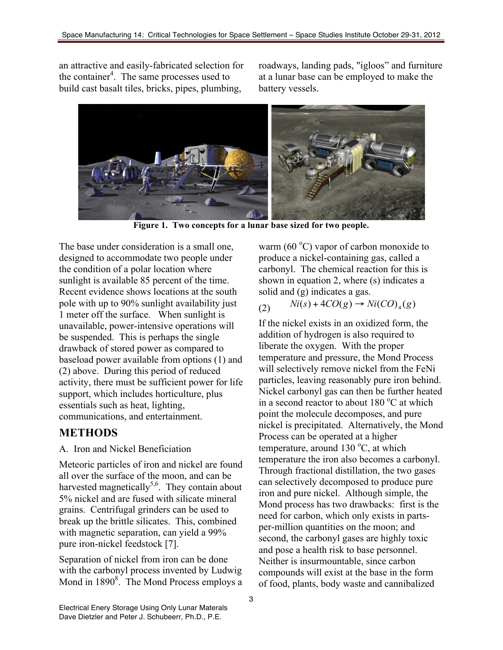an attractive and easily-fabricated selection for the container<sup>4</sup>. The same processes used to build cast basalt tiles, bricks, pipes, plumbing,

roadways, landing pads, "igloos" and furniture at a lunar base can be employed to make the battery vessels.



**Figure 1. Two concepts for a lunar base sized for two people.**

The base under consideration is a small one, designed to accommodate two people under the condition of a polar location where sunlight is available 85 percent of the time. Recent evidence shows locations at the south pole with up to 90% sunlight availability just 1 meter off the surface. When sunlight is unavailable, power-intensive operations will be suspended. This is perhaps the single drawback of stored power as compared to baseload power available from options (1) and (2) above. During this period of reduced activity, there must be sufficient power for life support, which includes horticulture, plus essentials such as heat, lighting, communications, and entertainment.

# **METHODS**

A. Iron and Nickel Beneficiation

Meteoric particles of iron and nickel are found all over the surface of the moon, and can be harvested magnetically $5,6$ . They contain about 5% nickel and are fused with silicate mineral grains. Centrifugal grinders can be used to break up the brittle silicates. This, combined with magnetic separation, can yield a 99% pure iron-nickel feedstock [7].

Separation of nickel from iron can be done with the carbonyl process invented by Ludwig Mond in 1890<sup>8</sup>. The Mond Process employs a

warm (60 $^{\circ}$ C) vapor of carbon monoxide to produce a nickel-containing gas, called a carbonyl. The chemical reaction for this is shown in equation 2, where (s) indicates a solid and (g) indicates a gas.

(2)  $Ni(s) + 4CO(g) \rightarrow Ni(CO)_4(g)$ 

If the nickel exists in an oxidized form, the addition of hydrogen is also required to liberate the oxygen. With the proper temperature and pressure, the Mond Process will selectively remove nickel from the FeNi particles, leaving reasonably pure iron behind. Nickel carbonyl gas can then be further heated in a second reactor to about  $180^{\circ}$ C at which point the molecule decomposes, and pure nickel is precipitated. Alternatively, the Mond Process can be operated at a higher temperature, around  $130^{\circ}$ C, at which temperature the iron also becomes a carbonyl. Through fractional distillation, the two gases can selectively decomposed to produce pure iron and pure nickel. Although simple, the Mond process has two drawbacks: first is the need for carbon, which only exists in partsper-million quantities on the moon; and second, the carbonyl gases are highly toxic and pose a health risk to base personnel. Neither is insurmountable, since carbon compounds will exist at the base in the form of food, plants, body waste and cannibalized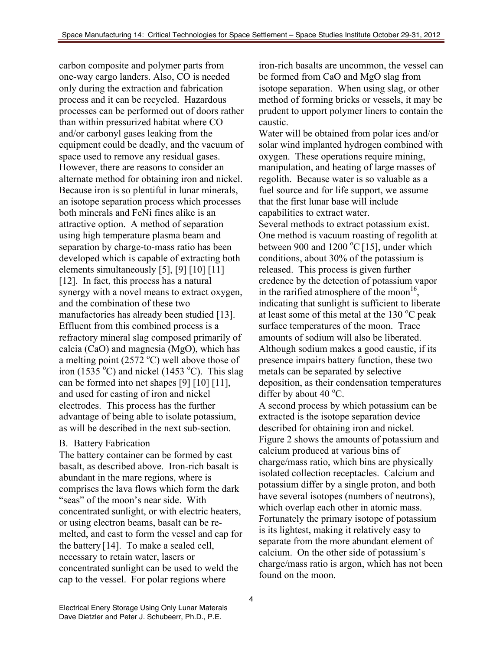carbon composite and polymer parts from one-way cargo landers. Also, CO is needed only during the extraction and fabrication process and it can be recycled. Hazardous processes can be performed out of doors rather than within pressurized habitat where CO and/or carbonyl gases leaking from the equipment could be deadly, and the vacuum of space used to remove any residual gases. However, there are reasons to consider an alternate method for obtaining iron and nickel. Because iron is so plentiful in lunar minerals, an isotope separation process which processes both minerals and FeNi fines alike is an attractive option. A method of separation using high temperature plasma beam and separation by charge-to-mass ratio has been developed which is capable of extracting both elements simultaneously [5], [9] [10] [11] [12]. In fact, this process has a natural synergy with a novel means to extract oxygen, and the combination of these two manufactories has already been studied [13]. Effluent from this combined process is a refractory mineral slag composed primarily of calcia (CaO) and magnesia (MgO), which has a melting point (2572  $^{\circ}$ C) well above those of iron (1535 °C) and nickel (1453 °C). This slag can be formed into net shapes [9] [10] [11], and used for casting of iron and nickel electrodes. This process has the further advantage of being able to isolate potassium, as will be described in the next sub-section.

#### B. Battery Fabrication

The battery container can be formed by cast basalt, as described above. Iron-rich basalt is abundant in the mare regions, where is comprises the lava flows which form the dark "seas" of the moon's near side. With concentrated sunlight, or with electric heaters, or using electron beams, basalt can be remelted, and cast to form the vessel and cap for the battery [14]. To make a sealed cell, necessary to retain water, lasers or concentrated sunlight can be used to weld the cap to the vessel. For polar regions where

iron-rich basalts are uncommon, the vessel can be formed from CaO and MgO slag from isotope separation. When using slag, or other method of forming bricks or vessels, it may be prudent to upport polymer liners to contain the caustic.

Water will be obtained from polar ices and/or solar wind implanted hydrogen combined with oxygen. These operations require mining, manipulation, and heating of large masses of regolith. Because water is so valuable as a fuel source and for life support, we assume that the first lunar base will include capabilities to extract water. Several methods to extract potassium exist. One method is vacuum roasting of regolith at between 900 and 1200 °C [15], under which conditions, about 30% of the potassium is released. This process is given further credence by the detection of potassium vapor in the rarified atmosphere of the moon<sup>16</sup>, indicating that sunlight is sufficient to liberate at least some of this metal at the  $130^{\circ}$ C peak surface temperatures of the moon. Trace amounts of sodium will also be liberated. Although sodium makes a good caustic, if its presence impairs battery function, these two metals can be separated by selective deposition, as their condensation temperatures differ by about 40 $\mathrm{^{\circ}C}$ . A second process by which potassium can be extracted is the isotope separation device described for obtaining iron and nickel. Figure 2 shows the amounts of potassium and calcium produced at various bins of charge/mass ratio, which bins are physically isolated collection receptacles. Calcium and

potassium differ by a single proton, and both have several isotopes (numbers of neutrons), which overlap each other in atomic mass. Fortunately the primary isotope of potassium is its lightest, making it relatively easy to separate from the more abundant element of calcium. On the other side of potassium's charge/mass ratio is argon, which has not been found on the moon.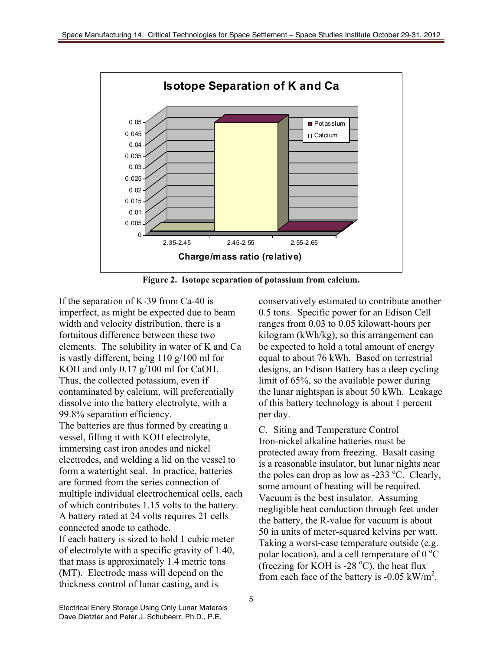

**Figure 2. Isotope separation of potassium from calcium.**

If the separation of K-39 from Ca-40 is imperfect, as might be expected due to beam width and velocity distribution, there is a fortuitous difference between these two elements. The solubility in water of K and Ca is vastly different, being 110 g/100 ml for KOH and only 0.17 g/100 ml for CaOH. Thus, the collected potassium, even if contaminated by calcium, will preferentially dissolve into the battery electrolyte, with a 99.8% separation efficiency.

The batteries are thus formed by creating a vessel, filling it with KOH electrolyte, immersing cast iron anodes and nickel electrodes, and welding a lid on the vessel to form a watertight seal. In practice, batteries are formed from the series connection of multiple individual electrochemical cells, each of which contributes 1.15 volts to the battery. A battery rated at 24 volts requires 21 cells connected anode to cathode. If each battery is sized to hold 1 cubic meter

of electrolyte with a specific gravity of 1.40, that mass is approximately 1.4 metric tons (MT). Electrode mass will depend on the thickness control of lunar casting, and is

conservatively estimated to contribute another 0.5 tons. Specific power for an Edison Cell ranges from 0.03 to 0.05 kilowatt-hours per kilogram (kWh/kg), so this arrangement can be expected to hold a total amount of energy equal to about 76 kWh. Based on terrestrial designs, an Edison Battery has a deep cycling limit of 65%, so the available power during the lunar nightspan is about 50 kWh. Leakage of this battery technology is about 1 percent per day.

C. Siting and Temperature Control Iron-nickel alkaline batteries must be protected away from freezing. Basalt casing is a reasonable insulator, but lunar nights near the poles can drop as low as -233  $^{\circ}$ C. Clearly, some amount of heating will be required. Vacuum is the best insulator. Assuming negligible heat conduction through feet under the battery, the R-value for vacuum is about 50 in units of meter-squared kelvins per watt. Taking a worst-case temperature outside (e.g. polar location), and a cell temperature of  $0^{\circ}C$ (freezing for KOH is -28  $^{\circ}$ C), the heat flux from each face of the battery is  $-0.05 \text{ kW/m}^2$ .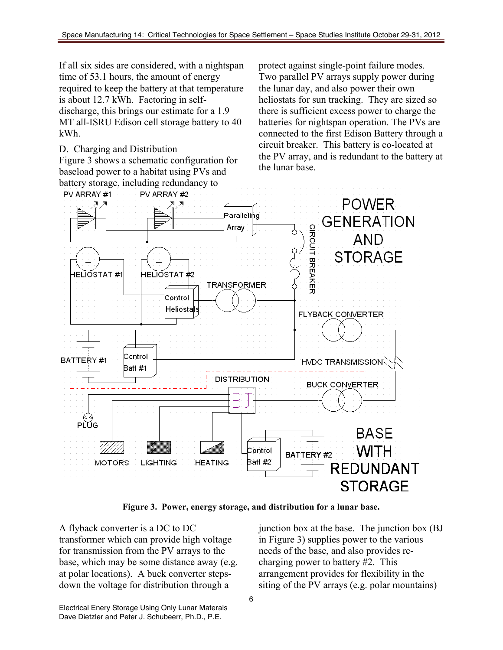If all six sides are considered, with a nightspan time of 53.1 hours, the amount of energy required to keep the battery at that temperature is about 12.7 kWh. Factoring in selfdischarge, this brings our estimate for a 1.9 MT all-ISRU Edison cell storage battery to 40 kWh.

D. Charging and Distribution

Figure 3 shows a schematic configuration for baseload power to a habitat using PVs and battery storage, including redundancy to

protect against single-point failure modes. Two parallel PV arrays supply power during the lunar day, and also power their own heliostats for sun tracking. They are sized so there is sufficient excess power to charge the batteries for nightspan operation. The PVs are connected to the first Edison Battery through a circuit breaker. This battery is co-located at the PV array, and is redundant to the battery at the lunar base.



**Figure 3. Power, energy storage, and distribution for a lunar base.**

A flyback converter is a DC to DC transformer which can provide high voltage for transmission from the PV arrays to the base, which may be some distance away (e.g. at polar locations). A buck converter stepsdown the voltage for distribution through a

junction box at the base. The junction box (BJ in Figure 3) supplies power to the various needs of the base, and also provides recharging power to battery #2. This arrangement provides for flexibility in the siting of the PV arrays (e.g. polar mountains)

Electrical Enery Storage Using Only Lunar Materals Dave Dietzler and Peter J. Schubeerr, Ph.D., P.E.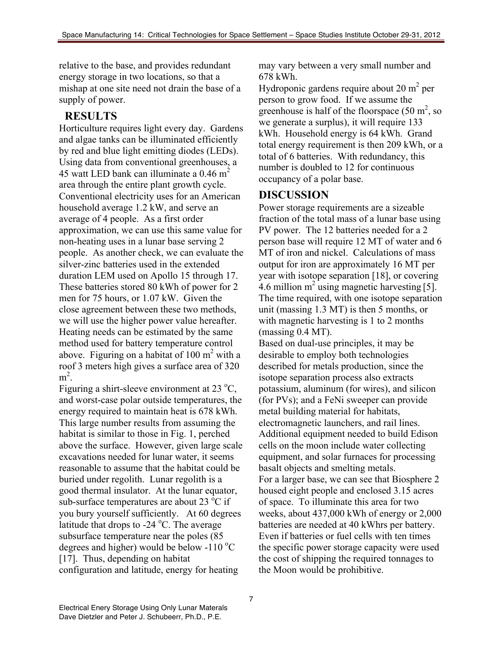relative to the base, and provides redundant energy storage in two locations, so that a mishap at one site need not drain the base of a supply of power.

# **RESULTS**

Horticulture requires light every day. Gardens and algae tanks can be illuminated efficiently by red and blue light emitting diodes (LEDs). Using data from conventional greenhouses, a 45 watt LED bank can illuminate a  $0.46$  m<sup>2</sup> area through the entire plant growth cycle. Conventional electricity uses for an American household average 1.2 kW, and serve an average of 4 people. As a first order approximation, we can use this same value for non-heating uses in a lunar base serving 2 people. As another check, we can evaluate the silver-zinc batteries used in the extended duration LEM used on Apollo 15 through 17. These batteries stored 80 kWh of power for 2 men for 75 hours, or 1.07 kW. Given the close agreement between these two methods, we will use the higher power value hereafter. Heating needs can be estimated by the same method used for battery temperature control above. Figuring on a habitat of  $100 \text{ m}^2$  with a roof 3 meters high gives a surface area of 320  $m^2$ .

Figuring a shirt-sleeve environment at  $23^{\circ}$ C, and worst-case polar outside temperatures, the energy required to maintain heat is 678 kWh. This large number results from assuming the habitat is similar to those in Fig. 1, perched above the surface. However, given large scale excavations needed for lunar water, it seems reasonable to assume that the habitat could be buried under regolith. Lunar regolith is a good thermal insulator. At the lunar equator, sub-surface temperatures are about 23 $\,^{\circ}$ C if you bury yourself sufficiently. At 60 degrees latitude that drops to -24 °C. The average subsurface temperature near the poles (85 degrees and higher) would be below -110  $^{\circ}$ C [17]. Thus, depending on habitat configuration and latitude, energy for heating

may vary between a very small number and 678 kWh.

Hydroponic gardens require about  $20 \text{ m}^2$  per person to grow food. If we assume the greenhouse is half of the floorspace  $(50 \text{ m}^2, \text{ so})$ we generate a surplus), it will require 133 kWh. Household energy is 64 kWh. Grand total energy requirement is then 209 kWh, or a total of 6 batteries. With redundancy, this number is doubled to 12 for continuous occupancy of a polar base.

## **DISCUSSION**

Power storage requirements are a sizeable fraction of the total mass of a lunar base using PV power. The 12 batteries needed for a 2 person base will require 12 MT of water and 6 MT of iron and nickel. Calculations of mass output for iron are approximately 16 MT per year with isotope separation [18], or covering 4.6 million  $m^2$  using magnetic harvesting [5]. The time required, with one isotope separation unit (massing 1.3 MT) is then 5 months, or with magnetic harvesting is 1 to 2 months (massing 0.4 MT).

Based on dual-use principles, it may be desirable to employ both technologies described for metals production, since the isotope separation process also extracts potassium, aluminum (for wires), and silicon (for PVs); and a FeNi sweeper can provide metal building material for habitats, electromagnetic launchers, and rail lines. Additional equipment needed to build Edison cells on the moon include water collecting equipment, and solar furnaces for processing basalt objects and smelting metals. For a larger base, we can see that Biosphere 2 housed eight people and enclosed 3.15 acres of space. To illuminate this area for two weeks, about 437,000 kWh of energy or 2,000 batteries are needed at 40 kWhrs per battery. Even if batteries or fuel cells with ten times the specific power storage capacity were used the cost of shipping the required tonnages to the Moon would be prohibitive.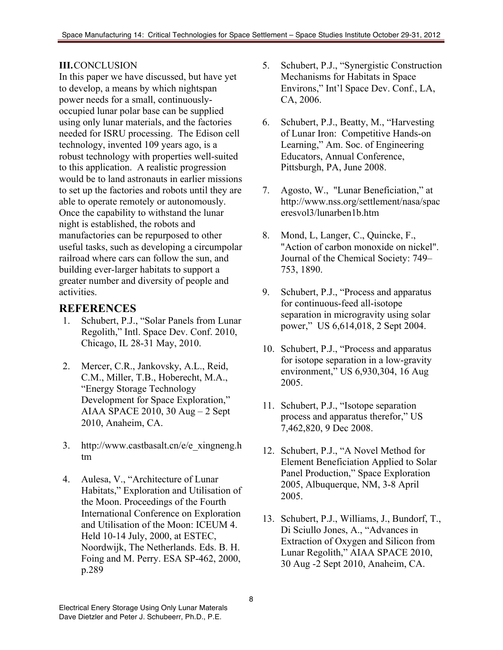### **III.**CONCLUSION

In this paper we have discussed, but have yet to develop, a means by which nightspan power needs for a small, continuouslyoccupied lunar polar base can be supplied using only lunar materials, and the factories needed for ISRU processing. The Edison cell technology, invented 109 years ago, is a robust technology with properties well-suited to this application. A realistic progression would be to land astronauts in earlier missions to set up the factories and robots until they are able to operate remotely or autonomously. Once the capability to withstand the lunar night is established, the robots and manufactories can be repurposed to other useful tasks, such as developing a circumpolar railroad where cars can follow the sun, and building ever-larger habitats to support a greater number and diversity of people and activities.

# **REFERENCES**

- 1. Schubert, P.J., "Solar Panels from Lunar Regolith," Intl. Space Dev. Conf. 2010, Chicago, IL 28-31 May, 2010.
- 2. Mercer, C.R., Jankovsky, A.L., Reid, C.M., Miller, T.B., Hoberecht, M.A., "Energy Storage Technology Development for Space Exploration," AIAA SPACE 2010, 30 Aug – 2 Sept 2010, Anaheim, CA.
- 3. http://www.castbasalt.cn/e/e\_xingneng.h tm
- 4. Aulesa, V., "Architecture of Lunar Habitats," Exploration and Utilisation of the Moon. Proceedings of the Fourth International Conference on Exploration and Utilisation of the Moon: ICEUM 4. Held 10-14 July, 2000, at ESTEC, Noordwijk, The Netherlands. Eds. B. H. Foing and M. Perry. ESA SP-462, 2000, p.289
- 5. Schubert, P.J., "Synergistic Construction Mechanisms for Habitats in Space Environs," Int'l Space Dev. Conf., LA, CA, 2006.
- 6. Schubert, P.J., Beatty, M., "Harvesting of Lunar Iron: Competitive Hands-on Learning," Am. Soc. of Engineering Educators, Annual Conference, Pittsburgh, PA, June 2008.
- 7. Agosto, W., "Lunar Beneficiation," at http://www.nss.org/settlement/nasa/spac eresvol3/lunarben1b.htm
- 8. Mond, L, Langer, C., Quincke, F., "Action of carbon monoxide on nickel". Journal of the Chemical Society: 749– 753, 1890.
- 9. Schubert, P.J., "Process and apparatus for continuous-feed all-isotope separation in microgravity using solar power," US 6,614,018, 2 Sept 2004.
- 10. Schubert, P.J., "Process and apparatus for isotope separation in a low-gravity environment," US 6,930,304, 16 Aug 2005.
- 11. Schubert, P.J., "Isotope separation process and apparatus therefor," US 7,462,820, 9 Dec 2008.
- 12. Schubert, P.J., "A Novel Method for Element Beneficiation Applied to Solar Panel Production," Space Exploration 2005, Albuquerque, NM, 3-8 April 2005.
- 13. Schubert, P.J., Williams, J., Bundorf, T., Di Sciullo Jones, A., "Advances in Extraction of Oxygen and Silicon from Lunar Regolith," AIAA SPACE 2010, 30 Aug -2 Sept 2010, Anaheim, CA.